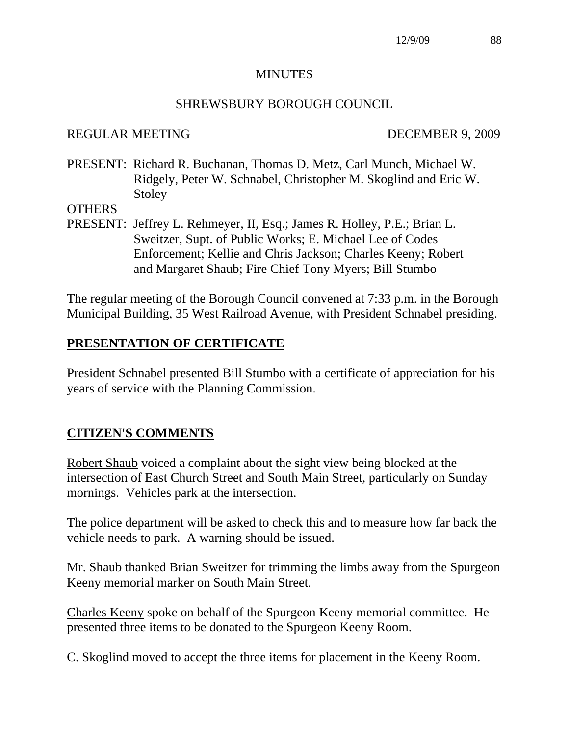#### **MINUTES**

#### SHREWSBURY BOROUGH COUNCIL

#### REGULAR MEETING DECEMBER 9, 2009

PRESENT: Richard R. Buchanan, Thomas D. Metz, Carl Munch, Michael W. Ridgely, Peter W. Schnabel, Christopher M. Skoglind and Eric W. Stoley

#### **OTHERS**

PRESENT: Jeffrey L. Rehmeyer, II, Esq.; James R. Holley, P.E.; Brian L. Sweitzer, Supt. of Public Works; E. Michael Lee of Codes Enforcement; Kellie and Chris Jackson; Charles Keeny; Robert and Margaret Shaub; Fire Chief Tony Myers; Bill Stumbo

The regular meeting of the Borough Council convened at 7:33 p.m. in the Borough Municipal Building, 35 West Railroad Avenue, with President Schnabel presiding.

## **PRESENTATION OF CERTIFICATE**

President Schnabel presented Bill Stumbo with a certificate of appreciation for his years of service with the Planning Commission.

#### **CITIZEN'S COMMENTS**

Robert Shaub voiced a complaint about the sight view being blocked at the intersection of East Church Street and South Main Street, particularly on Sunday mornings. Vehicles park at the intersection.

The police department will be asked to check this and to measure how far back the vehicle needs to park. A warning should be issued.

Mr. Shaub thanked Brian Sweitzer for trimming the limbs away from the Spurgeon Keeny memorial marker on South Main Street.

Charles Keeny spoke on behalf of the Spurgeon Keeny memorial committee. He presented three items to be donated to the Spurgeon Keeny Room.

C. Skoglind moved to accept the three items for placement in the Keeny Room.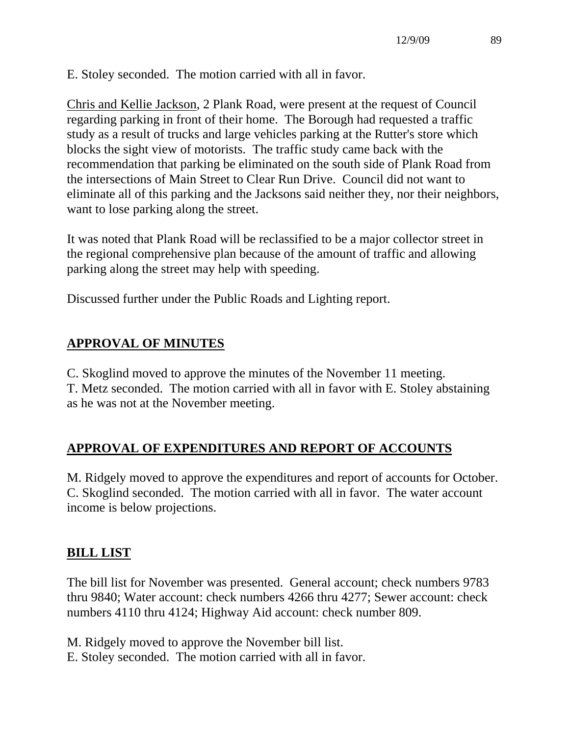E. Stoley seconded. The motion carried with all in favor.

Chris and Kellie Jackson, 2 Plank Road, were present at the request of Council regarding parking in front of their home. The Borough had requested a traffic study as a result of trucks and large vehicles parking at the Rutter's store which blocks the sight view of motorists. The traffic study came back with the recommendation that parking be eliminated on the south side of Plank Road from the intersections of Main Street to Clear Run Drive. Council did not want to eliminate all of this parking and the Jacksons said neither they, nor their neighbors, want to lose parking along the street.

It was noted that Plank Road will be reclassified to be a major collector street in the regional comprehensive plan because of the amount of traffic and allowing parking along the street may help with speeding.

Discussed further under the Public Roads and Lighting report.

# **APPROVAL OF MINUTES**

C. Skoglind moved to approve the minutes of the November 11 meeting.

T. Metz seconded. The motion carried with all in favor with E. Stoley abstaining as he was not at the November meeting.

# **APPROVAL OF EXPENDITURES AND REPORT OF ACCOUNTS**

M. Ridgely moved to approve the expenditures and report of accounts for October. C. Skoglind seconded. The motion carried with all in favor. The water account income is below projections.

# **BILL LIST**

The bill list for November was presented. General account; check numbers 9783 thru 9840; Water account: check numbers 4266 thru 4277; Sewer account: check numbers 4110 thru 4124; Highway Aid account: check number 809.

M. Ridgely moved to approve the November bill list.

E. Stoley seconded. The motion carried with all in favor.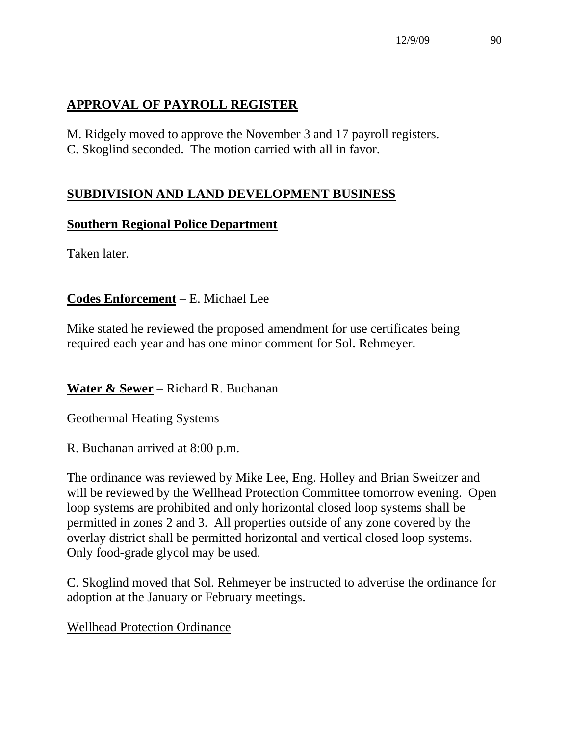# **APPROVAL OF PAYROLL REGISTER**

M. Ridgely moved to approve the November 3 and 17 payroll registers. C. Skoglind seconded. The motion carried with all in favor.

## **SUBDIVISION AND LAND DEVELOPMENT BUSINESS**

## **Southern Regional Police Department**

Taken later.

## **Codes Enforcement** – E. Michael Lee

Mike stated he reviewed the proposed amendment for use certificates being required each year and has one minor comment for Sol. Rehmeyer.

## **Water & Sewer** – Richard R. Buchanan

Geothermal Heating Systems

R. Buchanan arrived at 8:00 p.m.

The ordinance was reviewed by Mike Lee, Eng. Holley and Brian Sweitzer and will be reviewed by the Wellhead Protection Committee tomorrow evening. Open loop systems are prohibited and only horizontal closed loop systems shall be permitted in zones 2 and 3. All properties outside of any zone covered by the overlay district shall be permitted horizontal and vertical closed loop systems. Only food-grade glycol may be used.

C. Skoglind moved that Sol. Rehmeyer be instructed to advertise the ordinance for adoption at the January or February meetings.

#### Wellhead Protection Ordinance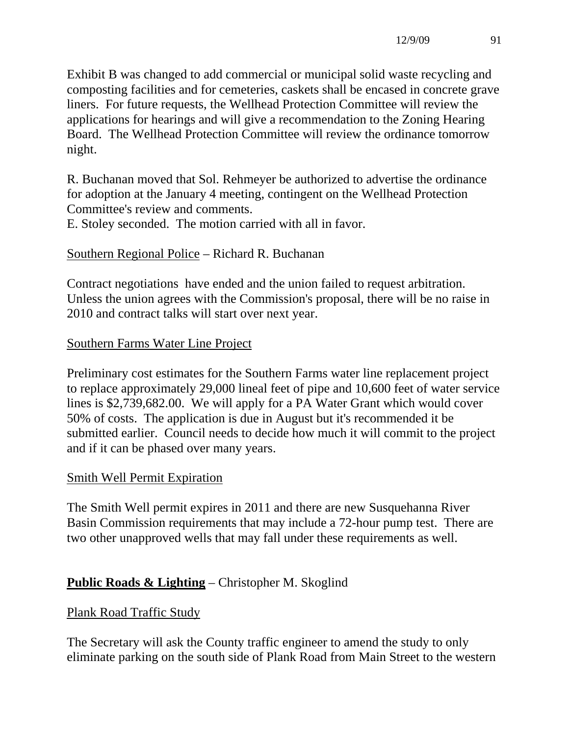Exhibit B was changed to add commercial or municipal solid waste recycling and composting facilities and for cemeteries, caskets shall be encased in concrete grave liners. For future requests, the Wellhead Protection Committee will review the applications for hearings and will give a recommendation to the Zoning Hearing Board. The Wellhead Protection Committee will review the ordinance tomorrow night.

R. Buchanan moved that Sol. Rehmeyer be authorized to advertise the ordinance for adoption at the January 4 meeting, contingent on the Wellhead Protection Committee's review and comments.

E. Stoley seconded. The motion carried with all in favor.

## Southern Regional Police – Richard R. Buchanan

Contract negotiations have ended and the union failed to request arbitration. Unless the union agrees with the Commission's proposal, there will be no raise in 2010 and contract talks will start over next year.

## Southern Farms Water Line Project

Preliminary cost estimates for the Southern Farms water line replacement project to replace approximately 29,000 lineal feet of pipe and 10,600 feet of water service lines is \$2,739,682.00. We will apply for a PA Water Grant which would cover 50% of costs. The application is due in August but it's recommended it be submitted earlier. Council needs to decide how much it will commit to the project and if it can be phased over many years.

#### Smith Well Permit Expiration

The Smith Well permit expires in 2011 and there are new Susquehanna River Basin Commission requirements that may include a 72-hour pump test. There are two other unapproved wells that may fall under these requirements as well.

## **Public Roads & Lighting** – Christopher M. Skoglind

## Plank Road Traffic Study

The Secretary will ask the County traffic engineer to amend the study to only eliminate parking on the south side of Plank Road from Main Street to the western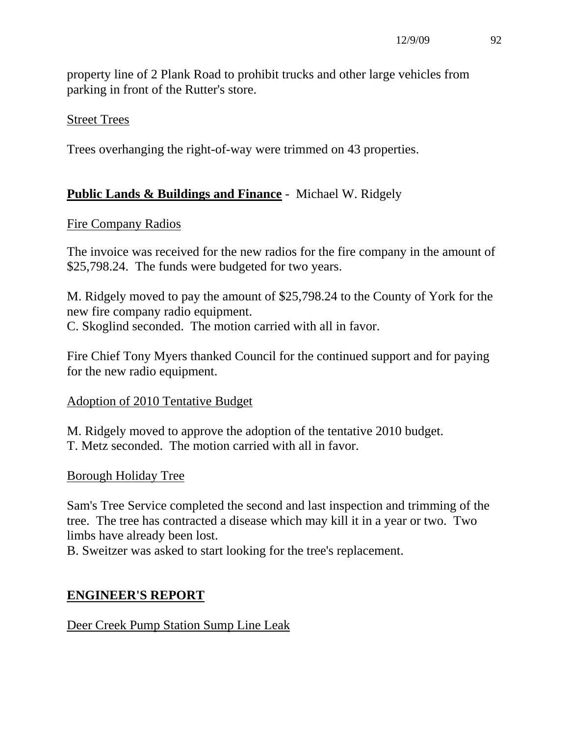property line of 2 Plank Road to prohibit trucks and other large vehicles from parking in front of the Rutter's store.

### Street Trees

Trees overhanging the right-of-way were trimmed on 43 properties.

## **Public Lands & Buildings and Finance** - Michael W. Ridgely

#### Fire Company Radios

The invoice was received for the new radios for the fire company in the amount of \$25,798.24. The funds were budgeted for two years.

M. Ridgely moved to pay the amount of \$25,798.24 to the County of York for the new fire company radio equipment. C. Skoglind seconded. The motion carried with all in favor.

Fire Chief Tony Myers thanked Council for the continued support and for paying for the new radio equipment.

#### Adoption of 2010 Tentative Budget

M. Ridgely moved to approve the adoption of the tentative 2010 budget. T. Metz seconded. The motion carried with all in favor.

#### Borough Holiday Tree

Sam's Tree Service completed the second and last inspection and trimming of the tree. The tree has contracted a disease which may kill it in a year or two. Two limbs have already been lost.

B. Sweitzer was asked to start looking for the tree's replacement.

# **ENGINEER'S REPORT**

## Deer Creek Pump Station Sump Line Leak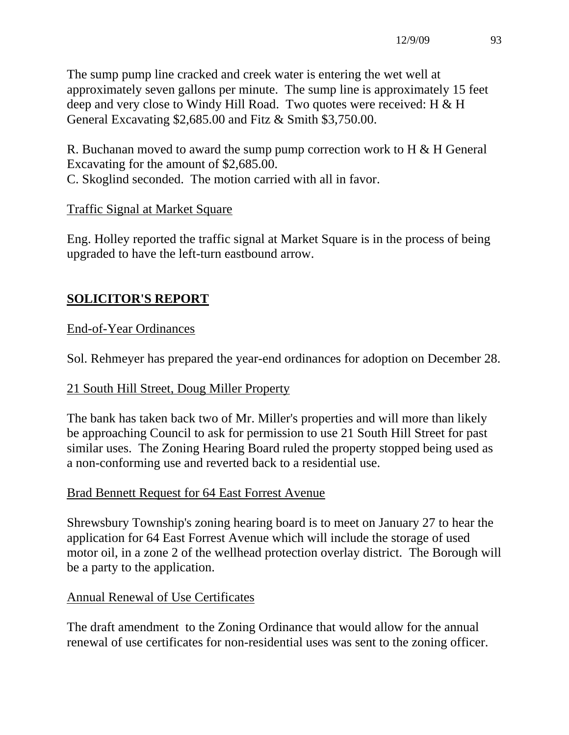The sump pump line cracked and creek water is entering the wet well at approximately seven gallons per minute. The sump line is approximately 15 feet deep and very close to Windy Hill Road. Two quotes were received: H & H General Excavating \$2,685.00 and Fitz & Smith \$3,750.00.

R. Buchanan moved to award the sump pump correction work to H & H General Excavating for the amount of \$2,685.00. C. Skoglind seconded. The motion carried with all in favor.

## Traffic Signal at Market Square

Eng. Holley reported the traffic signal at Market Square is in the process of being upgraded to have the left-turn eastbound arrow.

## **SOLICITOR'S REPORT**

## End-of-Year Ordinances

Sol. Rehmeyer has prepared the year-end ordinances for adoption on December 28.

## 21 South Hill Street, Doug Miller Property

The bank has taken back two of Mr. Miller's properties and will more than likely be approaching Council to ask for permission to use 21 South Hill Street for past similar uses. The Zoning Hearing Board ruled the property stopped being used as a non-conforming use and reverted back to a residential use.

#### Brad Bennett Request for 64 East Forrest Avenue

Shrewsbury Township's zoning hearing board is to meet on January 27 to hear the application for 64 East Forrest Avenue which will include the storage of used motor oil, in a zone 2 of the wellhead protection overlay district. The Borough will be a party to the application.

## Annual Renewal of Use Certificates

The draft amendment to the Zoning Ordinance that would allow for the annual renewal of use certificates for non-residential uses was sent to the zoning officer.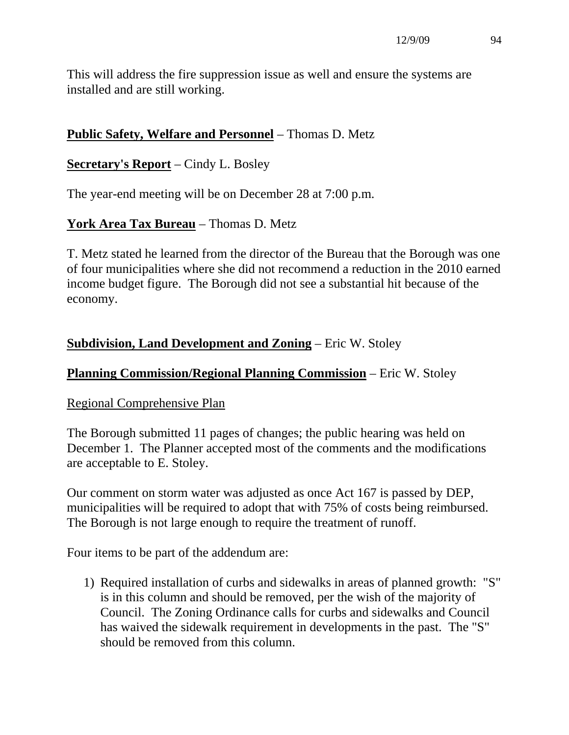This will address the fire suppression issue as well and ensure the systems are installed and are still working.

## **Public Safety, Welfare and Personnel** – Thomas D. Metz

#### **Secretary's Report** – Cindy L. Bosley

The year-end meeting will be on December 28 at 7:00 p.m.

#### **York Area Tax Bureau** – Thomas D. Metz

T. Metz stated he learned from the director of the Bureau that the Borough was one of four municipalities where she did not recommend a reduction in the 2010 earned income budget figure. The Borough did not see a substantial hit because of the economy.

#### **Subdivision, Land Development and Zoning** – Eric W. Stoley

#### **Planning Commission/Regional Planning Commission** – Eric W. Stoley

#### Regional Comprehensive Plan

The Borough submitted 11 pages of changes; the public hearing was held on December 1. The Planner accepted most of the comments and the modifications are acceptable to E. Stoley.

Our comment on storm water was adjusted as once Act 167 is passed by DEP, municipalities will be required to adopt that with 75% of costs being reimbursed. The Borough is not large enough to require the treatment of runoff.

Four items to be part of the addendum are:

1) Required installation of curbs and sidewalks in areas of planned growth: "S" is in this column and should be removed, per the wish of the majority of Council. The Zoning Ordinance calls for curbs and sidewalks and Council has waived the sidewalk requirement in developments in the past. The "S" should be removed from this column.